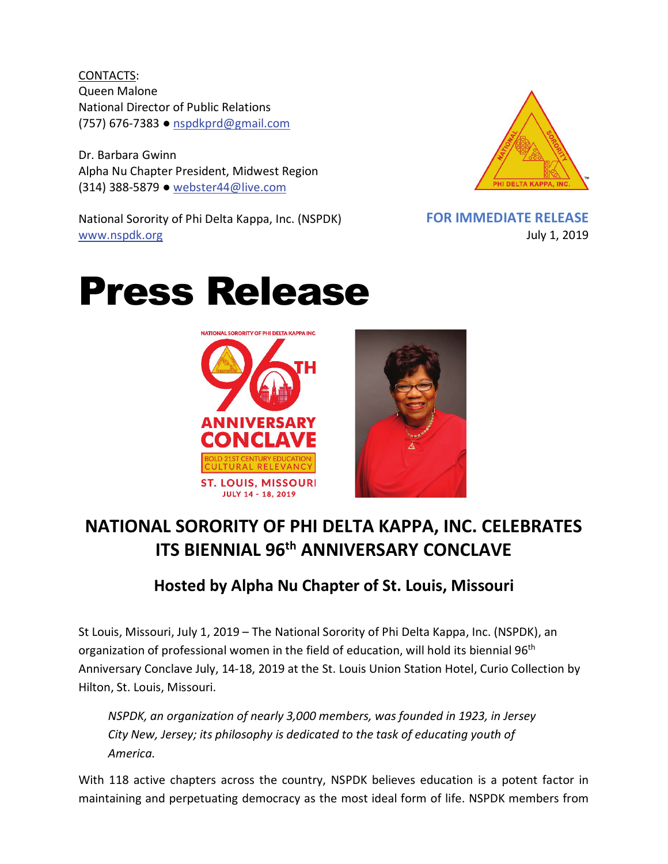CONTACTS: Queen Malone National Director of Public Relations (757) 676-7383 ● [nspdkprd@gmail.com](mailto:nspdkprd@gmail.com)

Dr. Barbara Gwinn Alpha Nu Chapter President, Midwest Region (314) 388-5879 ● [webster44@live.com](mailto:webster44@live.com)

National Sorority of Phi Delta Kappa, Inc. (NSPDK) [www.nspdk.org](http://www.nspdk.org/)



**FOR IMMEDIATE RELEASE** July 1, 2019

## Press Release



## **NATIONAL SORORITY OF PHI DELTA KAPPA, INC. CELEBRATES ITS BIENNIAL 96th ANNIVERSARY CONCLAVE**

## **Hosted by Alpha Nu Chapter of St. Louis, Missouri**

St Louis, Missouri, July 1, 2019 – The National Sorority of Phi Delta Kappa, Inc. (NSPDK), an organization of professional women in the field of education, will hold its biennial 96<sup>th</sup> Anniversary Conclave July, 14-18, 2019 at the St. Louis Union Station Hotel, Curio Collection by Hilton, St. Louis, Missouri.

*NSPDK, an organization of nearly 3,000 members, was founded in 1923, in Jersey City New, Jersey; its philosophy is dedicated to the task of educating youth of America.*

With 118 active chapters across the country, NSPDK believes education is a potent factor in maintaining and perpetuating democracy as the most ideal form of life. NSPDK members from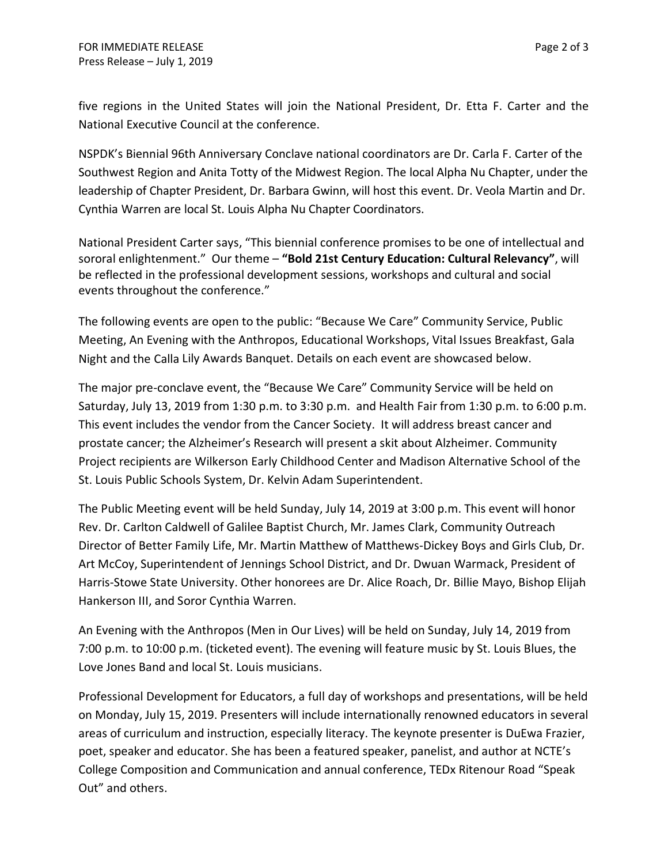five regions in the United States will join the National President, Dr. Etta F. Carter and the National Executive Council at the conference.

NSPDK's Biennial 96th Anniversary Conclave national coordinators are Dr. Carla F. Carter of the Southwest Region and Anita Totty of the Midwest Region. The local Alpha Nu Chapter, under the leadership of Chapter President, Dr. Barbara Gwinn, will host this event. Dr. Veola Martin and Dr. Cynthia Warren are local St. Louis Alpha Nu Chapter Coordinators.

National President Carter says, "This biennial conference promises to be one of intellectual and sororal enlightenment." Our theme – **"Bold 21st Century Education: Cultural Relevancy"**, will be reflected in the professional development sessions, workshops and cultural and social events throughout the conference."

The following events are open to the public: "Because We Care" Community Service, Public Meeting, An Evening with the Anthropos, Educational Workshops, Vital Issues Breakfast, Gala Night and the Calla Lily Awards Banquet. Details on each event are showcased below.

The major pre-conclave event, the "Because We Care" Community Service will be held on Saturday, July 13, 2019 from 1:30 p.m. to 3:30 p.m. and Health Fair from 1:30 p.m. to 6:00 p.m. This event includes the vendor from the Cancer Society. It will address breast cancer and prostate cancer; the Alzheimer's Research will present a skit about Alzheimer. Community Project recipients are Wilkerson Early Childhood Center and Madison Alternative School of the St. Louis Public Schools System, Dr. Kelvin Adam Superintendent.

The Public Meeting event will be held Sunday, July 14, 2019 at 3:00 p.m. This event will honor Rev. Dr. Carlton Caldwell of Galilee Baptist Church, Mr. James Clark, Community Outreach Director of Better Family Life, Mr. Martin Matthew of Matthews-Dickey Boys and Girls Club, Dr. Art McCoy, Superintendent of Jennings School District, and Dr. Dwuan Warmack, President of Harris-Stowe State University. Other honorees are Dr. Alice Roach, Dr. Billie Mayo, Bishop Elijah Hankerson III, and Soror Cynthia Warren.

An Evening with the Anthropos (Men in Our Lives) will be held on Sunday, July 14, 2019 from 7:00 p.m. to 10:00 p.m. (ticketed event). The evening will feature music by St. Louis Blues, the Love Jones Band and local St. Louis musicians.

Professional Development for Educators, a full day of workshops and presentations, will be held on Monday, July 15, 2019. Presenters will include internationally renowned educators in several areas of curriculum and instruction, especially literacy. The keynote presenter is DuEwa Frazier, poet, speaker and educator. She has been a featured speaker, panelist, and author at NCTE's College Composition and Communication and annual conference, TEDx Ritenour Road "Speak Out" and others.